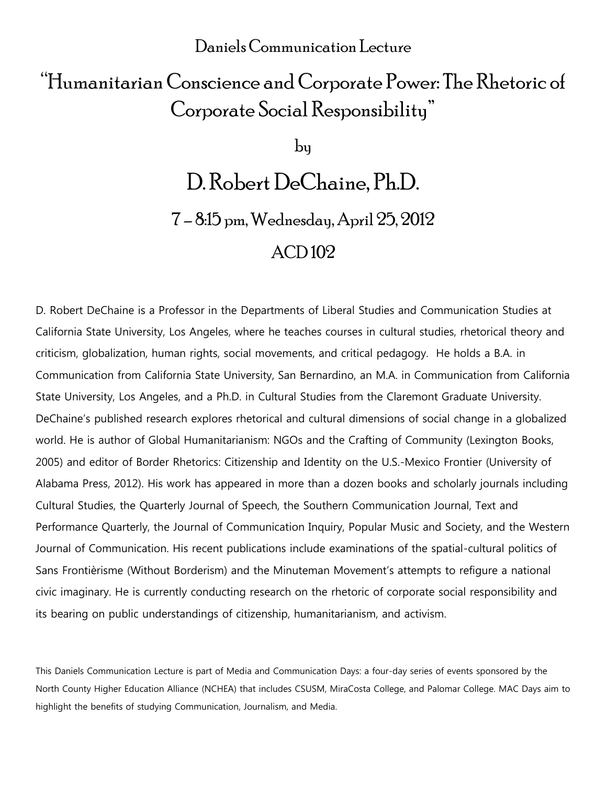## Daniels Communication Lecture

# "Humanitarian Conscience and Corporate Power: The Rhetoric of Corporate Social Responsibility"

by

# D. Robert DeChaine, Ph.D.

7 – 8:15 pm, Wednesday, April 25, 2012

## ACD 102

D. Robert DeChaine is a Professor in the Departments of Liberal Studies and Communication Studies at California State University, Los Angeles, where he teaches courses in cultural studies, rhetorical theory and criticism, globalization, human rights, social movements, and critical pedagogy. He holds a B.A. in Communication from California State University, San Bernardino, an M.A. in Communication from California State University, Los Angeles, and a Ph.D. in Cultural Studies from the Claremont Graduate University. DeChaine's published research explores rhetorical and cultural dimensions of social change in a globalized world. He is author of Global Humanitarianism: NGOs and the Crafting of Community (Lexington Books, 2005) and editor of Border Rhetorics: Citizenship and Identity on the U.S.-Mexico Frontier (University of Alabama Press, 2012). His work has appeared in more than a dozen books and scholarly journals including Cultural Studies, the Quarterly Journal of Speech, the Southern Communication Journal, Text and Performance Quarterly, the Journal of Communication Inquiry, Popular Music and Society, and the Western Journal of Communication. His recent publications include examinations of the spatial-cultural politics of Sans Frontièrisme (Without Borderism) and the Minuteman Movement's attempts to refigure a national civic imaginary. He is currently conducting research on the rhetoric of corporate social responsibility and its bearing on public understandings of citizenship, humanitarianism, and activism.

This Daniels Communication Lecture is part of Media and Communication Days: a four-day series of events sponsored by the North County Higher Education Alliance (NCHEA) that includes CSUSM, MiraCosta College, and Palomar College. MAC Days aim to highlight the benefits of studying Communication, Journalism, and Media.